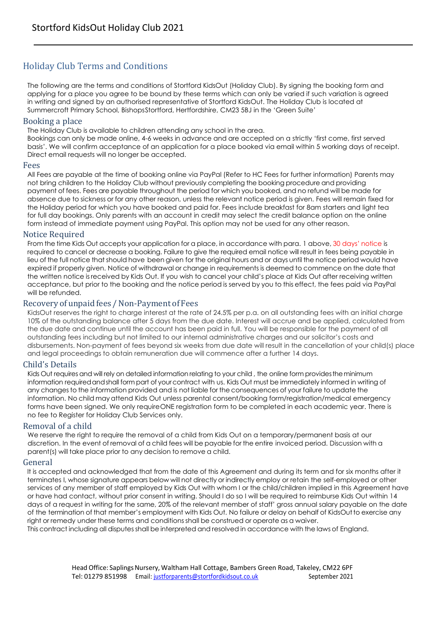# Holiday Club Terms and Conditions

The following are the terms and conditions of Stortford KidsOut (Holiday Club). By signing the booking form and applying for a place you agree to be bound by these terms which can only be varied if such variation is agreed in writing and signed by an authorised representative of Stortford KidsOut. The Holiday Club is located at Summercroft Primary School, BishopsStortford, Hertfordshire, CM23 5BJ in the 'Green Suite'

### Booking a place

The Holiday Club is available to children attending any school in the area.

Bookings can only be made online, 4-6 weeks in advance and are accepted on a strictly 'first come, first served basis'. We will confirm acceptance of an application for a place booked via email within 5 working days of receipt. Direct email requests will no longer be accepted.

### Fees

All Fees are payable at the time of booking online via PayPal (Refer to HC Fees for further information) Parents may not bring children to the Holiday Club without previously completing the booking procedure and providing payment of fees. Fees are payable throughout the period for which you booked, and no refund will be made for absence due to sickness or for any other reason, unless the relevant notice period is given. Fees will remain fixed for the Holiday period for which you have booked and paid for. Fees include breakfast for 8am starters and light tea for full day bookings. Only parents with an account in credit may select the credit balance option on the online form instead of immediate payment using PayPal. This option may not be used for any other reason.

### Notice Required

From the time Kids Out accepts your application for a place, in accordance with para. 1 above, 30 days' notice is required to cancel or decrease a booking. Failure to give the required email notice will result in fees being payable in lieu of the full notice that should have been given for the original hours and or days until the notice period would have expired if properly given. Notice of withdrawal or change in requirements is deemed to commence on the date that the written notice isreceived by Kids Out. If you wish to cancel your child's place at Kids Out after receiving written acceptance, but prior to the booking and the notice period is served by you to this effect, the fees paid via PayPal will be refunded.

## Recovery of unpaid fees / Non-Payment of Fees

KidsOut reserves the right to charge interest at the rate of 24.5% per p.a. on all outstanding fees with an initial charge 10% of the outstanding balance after 5 days from the due date. Interest will accrue and be applied, calculated from the due date and continue until the account has been paid in full. You will be responsible for the payment of all outstanding fees including but not limited to our internal administrative charges and our solicitor's costs and disbursements. Non-payment of fees beyond six weeks from due date will result in the cancellation of your child(s) place and legal proceedings to obtain remuneration due will commence after a further 14 days.

## Child's Details

Kids Out requires and will rely on detailed information relating to your child , the online form providestheminimum information requiredandshall form part of yourcontract with us. Kids Out must be immediately informed in writing of any changes to the information provided and is not liable for the consequences of your failure to update the information. No child may attend Kids Out unless parental consent/booking form/registration/medical emergency forms have been signed. We only requireONE registration form to be completed in each academic year. There is no fee to Register for Holiday Club Services only.

### Removal of a child

We reserve the right to require the removal of a child from Kids Out on a temporary/permanent basis at our discretion. In the event of removal of a child fees will be payable for the entire invoiced period. Discussion with a parent(s) will take place prior to any decision to remove a child.

## General

It is accepted and acknowledged that from the date of this Agreement and during its term and for six months after it terminates I, whose signature appears below will not directly or indirectly employ or retain the self-employed or other services of any member of staff employed by Kids Out with whom I or the child/children implied in this Agreement have or have had contact, without prior consent in writing. Should I do so I will be required to reimburse Kids Out within 14 days of a request in writing for the same, 20% of the relevant member of staff' gross annual salary payable on the date of the termination of that member's employment with Kids Out. No failure or delay on behalf of KidsOutto exercise any right or remedy under these terms and conditions shall be construed or operate as a waiver.

This contract including all disputesshall be interpreted and resolved in accordance with the laws of England.